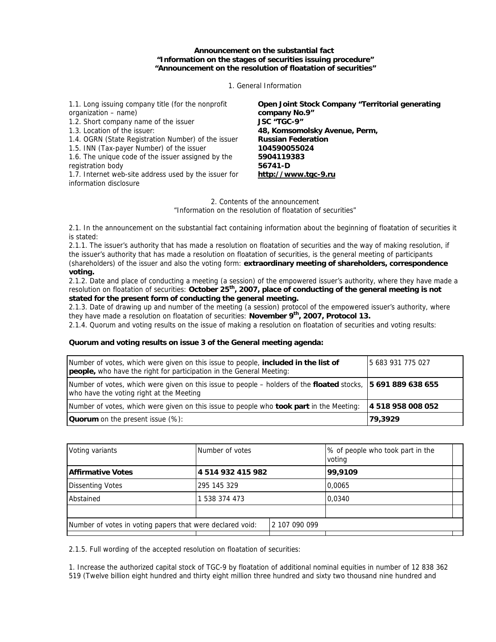**Announcement on the substantial fact "Information on the stages of securities issuing procedure" "Announcement on the resolution of floatation of securities"**

1. General Information

1.1. Long issuing company title (for the nonprofit organization – name) 1.2. Short company name of the issuer 1.3. Location of the issuer: 1.4. OGRN (State Registration Number) of the issuer 1.5. INN (Tax-payer Number) of the issuer 1.6. The unique code of the issuer assigned by the registration body 1.7. Internet web-site address used by the issuer for information disclosure **Open Joint Stock Company "Territorial generating company No.9" JSC "TGC-9" 48, Komsomolsky Avenue, Perm, Russian Federation 104590055024 5904119383 56741-D [http://www.tgc-9.ru](http://www.tgc-9.ru/)**

> 2. Contents of the announcement "Information on the resolution of floatation of securities"

2.1. In the announcement on the substantial fact containing information about the beginning of floatation of securities it is stated:

2.1.1. The issuer's authority that has made a resolution on floatation of securities and the way of making resolution, if the issuer's authority that has made a resolution on floatation of securities, is the general meeting of participants (shareholders) of the issuer and also the voting form: **extraordinary meeting of shareholders, correspondence voting.**

2.1.2. Date and place of conducting a meeting (a session) of the empowered issuer's authority, where they have made a resolution on floatation of securities: October 25<sup>th</sup>, 2007, place of conducting of the general meeting is not **stated for the present form of conducting the general meeting.**

2.1.3. Date of drawing up and number of the meeting (a session) protocol of the empowered issuer's authority, where they have made a resolution on floatation of securities: November 9<sup>th</sup>, 2007, Protocol 13.

2.1.4. Quorum and voting results on the issue of making a resolution on floatation of securities and voting results:

## **Quorum and voting results on issue 3 of the General meeting agenda:**

| Number of votes, which were given on this issue to people, <b>included in the list of</b><br><b>people,</b> who have the right for participation in the General Meeting: | 5 683 931 775 027 |
|--------------------------------------------------------------------------------------------------------------------------------------------------------------------------|-------------------|
| Number of votes, which were given on this issue to people – holders of the floated stocks, 15 691 889 638 655<br>who have the voting right at the Meeting                |                   |
| Number of votes, which were given on this issue to people who <b>took part</b> in the Meeting:                                                                           | 4 518 958 008 052 |
| <b>Quorum</b> on the present issue (%):                                                                                                                                  | 79,3929           |

| Voting variants                                           | Number of votes   |               | % of people who took part in the<br>voting |  |
|-----------------------------------------------------------|-------------------|---------------|--------------------------------------------|--|
| <b>Affirmative Votes</b>                                  | 4 514 932 415 982 |               | 99,9109                                    |  |
| <b>Dissenting Votes</b>                                   | 295 145 329       |               | 0,0065                                     |  |
| Abstained                                                 | 1 538 374 473     |               | 0.0340                                     |  |
|                                                           |                   |               |                                            |  |
| Number of votes in voting papers that were declared void: |                   | 2 107 090 099 |                                            |  |
|                                                           |                   |               |                                            |  |

2.1.5. Full wording of the accepted resolution on floatation of securities:

1. Increase the authorized capital stock of TGC-9 by floatation of additional nominal equities in number of 12 838 362 519 (Twelve billion eight hundred and thirty eight million three hundred and sixty two thousand nine hundred and